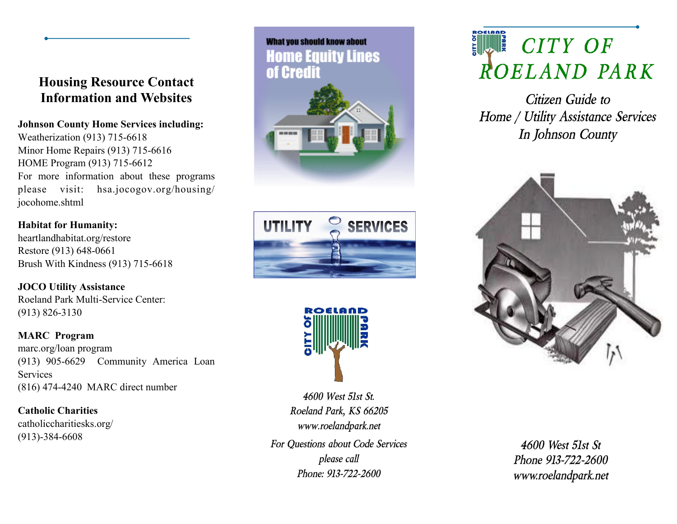### **Housing Resource Contact Information and Websites**

### **Johnson County Home Services including:**

Weatherization (913) 715-6618 Minor Home Repairs (913) 715-6616 HOME Program (913) 715-6612 For more information about these programs please visit: hsa.jocogov.org/housing/ jocohome.shtml

### **Habitat for Humanity:**

heartlandhabitat.org/restore Restore (913) 648-0661 Brush With Kindness (913) 715-6618

**JOCO Utility Assistance** Roeland Park Multi-Service Center: (913) 826-3130

### **MARC Program**

marc.org/loan program (913) 905-6629 Community America Loan **Services** (816) 474-4240 MARC direct number

**Catholic Charities**  catholiccharitiesks.org/ (913)-384-6608







*For Questions about Code Services please call Phone: 913-722-2600 4600 West 51st St. Roeland Park, KS 66205 www.roelandpark.net*

# **FINDE** CITY OF *ROELAND PARK*

*Citizen Guide to Home / Utility Assistance Services In Johnson County*



*4600 West 51st St Phone 913-722-2600 www.roelandpark.net*